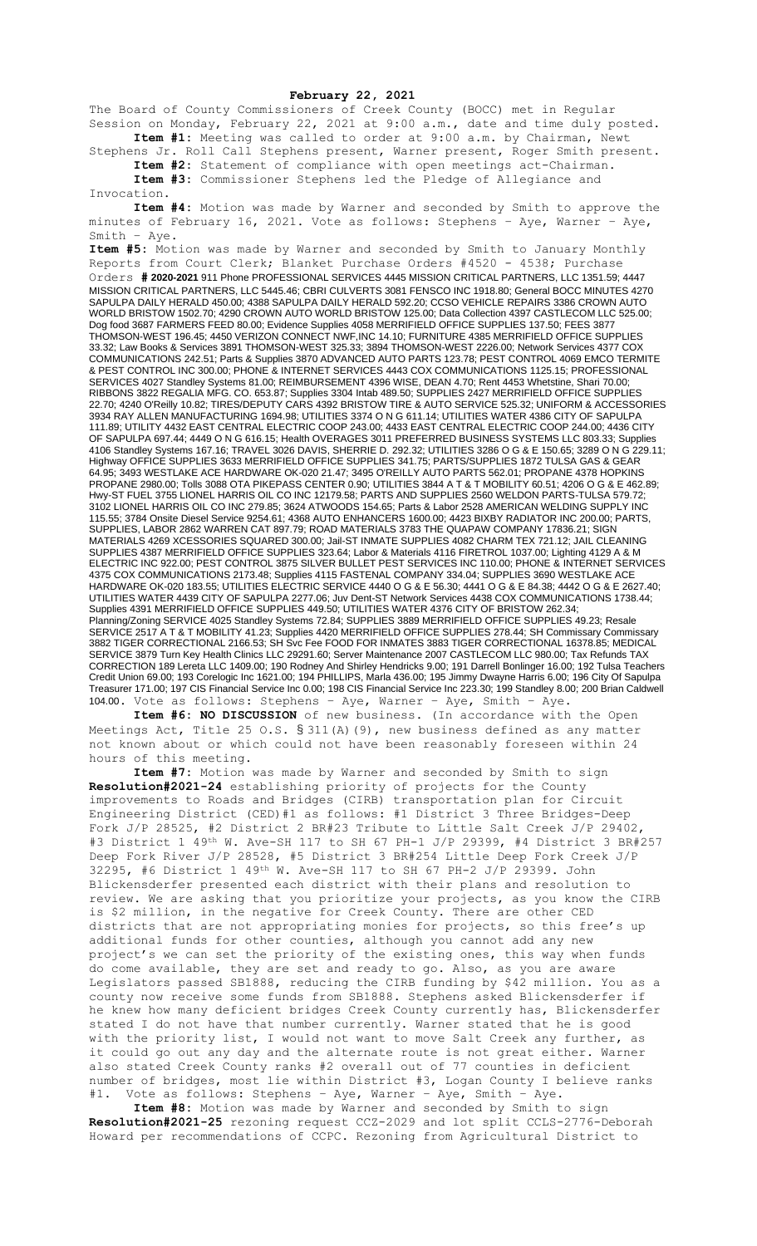## **February 22, 2021**

The Board of County Commissioners of Creek County (BOCC) met in Regular Session on Monday, February 22, 2021 at 9:00 a.m., date and time duly posted. **Item #1:** Meeting was called to order at 9:00 a.m. by Chairman, Newt

Stephens Jr. Roll Call Stephens present, Warner present, Roger Smith present. **Item #2:** Statement of compliance with open meetings act-Chairman.

**Item #3:** Commissioner Stephens led the Pledge of Allegiance and Invocation.

**Item #4:** Motion was made by Warner and seconded by Smith to approve the minutes of February 16, 2021. Vote as follows: Stephens – Aye, Warner – Aye, Smith – Aye.

**Item #5:** Motion was made by Warner and seconded by Smith to January Monthly Reports from Court Clerk; Blanket Purchase Orders #4520 - 4538; Purchase Orders **# 2020-2021** 911 Phone PROFESSIONAL SERVICES 4445 MISSION CRITICAL PARTNERS, LLC 1351.59; 4447 MISSION CRITICAL PARTNERS, LLC 5445.46; CBRI CULVERTS 3081 FENSCO INC 1918.80; General BOCC MINUTES 4270 SAPULPA DAILY HERALD 450.00; 4388 SAPULPA DAILY HERALD 592.20; CCSO VEHICLE REPAIRS 3386 CROWN AUTO WORLD BRISTOW 1502.70; 4290 CROWN AUTO WORLD BRISTOW 125.00; Data Collection 4397 CASTLECOM LLC 525.00; Dog food 3687 FARMERS FEED 80.00; Evidence Supplies 4058 MERRIFIELD OFFICE SUPPLIES 137.50; FEES 3877 THOMSON-WEST 196.45; 4450 VERIZON CONNECT NWF,INC 14.10; FURNITURE 4385 MERRIFIELD OFFICE SUPPLIES 33.32; Law Books & Services 3891 THOMSON-WEST 325.33; 3894 THOMSON-WEST 2226.00; Network Services 4377 COX COMMUNICATIONS 242.51; Parts & Supplies 3870 ADVANCED AUTO PARTS 123.78; PEST CONTROL 4069 EMCO TERMITE & PEST CONTROL INC 300.00; PHONE & INTERNET SERVICES 4443 COX COMMUNICATIONS 1125.15; PROFESSIONAL SERVICES 4027 Standley Systems 81.00; REIMBURSEMENT 4396 WISE, DEAN 4.70; Rent 4453 Whetstine, Shari 70.00; RIBBONS 3822 REGALIA MFG. CO. 653.87; Supplies 3304 Intab 489.50; SUPPLIES 2427 MERRIFIELD OFFICE SUPPLIES 22.70; 4240 O'Reilly 10.82; TIRES/DEPUTY CARS 4392 BRISTOW TIRE & AUTO SERVICE 525.32; UNIFORM & ACCESSORIES 3934 RAY ALLEN MANUFACTURING 1694.98; UTILITIES 3374 O N G 611.14; UTILITIES WATER 4386 CITY OF SAPULPA 111.89; UTILITY 4432 EAST CENTRAL ELECTRIC COOP 243.00; 4433 EAST CENTRAL ELECTRIC COOP 244.00; 4436 CITY OF SAPULPA 697.44; 4449 O N G 616.15; Health OVERAGES 3011 PREFERRED BUSINESS SYSTEMS LLC 803.33; Supplies 4106 Standley Systems 167.16; TRAVEL 3026 DAVIS, SHERRIE D. 292.32; UTILITIES 3286 O G & E 150.65; 3289 O N G 229.11; Highway OFFICE SUPPLIES 3633 MERRIFIELD OFFICE SUPPLIES 341.75; PARTS/SUPPLIES 1872 TULSA GAS & GEAR 64.95; 3493 WESTLAKE ACE HARDWARE OK-020 21.47; 3495 O'REILLY AUTO PARTS 562.01; PROPANE 4378 HOPKINS PROPANE 2980.00; Tolls 3088 OTA PIKEPASS CENTER 0.90; UTILITIES 3844 A T & T MOBILITY 60.51; 4206 O G & E 462.89; Hwy-ST FUEL 3755 LIONEL HARRIS OIL CO INC 12179.58; PARTS AND SUPPLIES 2560 WELDON PARTS-TULSA 579.72; 3102 LIONEL HARRIS OIL CO INC 279.85; 3624 ATWOODS 154.65; Parts & Labor 2528 AMERICAN WELDING SUPPLY INC 115.55; 3784 Onsite Diesel Service 9254.61; 4368 AUTO ENHANCERS 1600.00; 4423 BIXBY RADIATOR INC 200.00; PARTS, SUPPLIES, LABOR 2862 WARREN CAT 897.79; ROAD MATERIALS 3783 THE QUAPAW COMPANY 17836.21; SIGN MATERIALS 4269 XCESSORIES SQUARED 300.00; Jail-ST INMATE SUPPLIES 4082 CHARM TEX 721.12; JAIL CLEANING SUPPLIES 4387 MERRIFIELD OFFICE SUPPLIES 323.64; Labor & Materials 4116 FIRETROL 1037.00; Lighting 4129 A & M ELECTRIC INC 922.00; PEST CONTROL 3875 SILVER BULLET PEST SERVICES INC 110.00; PHONE & INTERNET SERVICES 4375 COX COMMUNICATIONS 2173.48; Supplies 4115 FASTENAL COMPANY 334.04; SUPPLIES 3690 WESTLAKE ACE HARDWARE OK-020 183.55; UTILITIES ELECTRIC SERVICE 4440 O G & E 56.30; 4441 O G & E 84.38; 4442 O G & E 2627.40; UTILITIES WATER 4439 CITY OF SAPULPA 2277.06; Juv Dent-ST Network Services 4438 COX COMMUNICATIONS 1738.44; Supplies 4391 MERRIFIELD OFFICE SUPPLIES 449.50; UTILITIES WATER 4376 CITY OF BRISTOW 262.34; Planning/Zoning SERVICE 4025 Standley Systems 72.84; SUPPLIES 3889 MERRIFIELD OFFICE SUPPLIES 49.23; Resale SERVICE 2517 A T & T MOBILITY 41.23; Supplies 4420 MERRIFIELD OFFICE SUPPLIES 278.44; SH Commissary Commissary 3882 TIGER CORRECTIONAL 2166.53; SH Svc Fee FOOD FOR INMATES 3883 TIGER CORRECTIONAL 16378.85; MEDICAL SERVICE 3879 Turn Key Health Clinics LLC 29291.60; Server Maintenance 2007 CASTLECOM LLC 980.00; Tax Refunds TAX CORRECTION 189 Lereta LLC 1409.00; 190 Rodney And Shirley Hendricks 9.00; 191 Darrell Bonlinger 16.00; 192 Tulsa Teachers Credit Union 69.00; 193 Corelogic Inc 1621.00; 194 PHILLIPS, Marla 436.00; 195 Jimmy Dwayne Harris 6.00; 196 City Of Sapulpa Treasurer 171.00; 197 CIS Financial Service Inc 0.00; 198 CIS Financial Service Inc 223.30; 199 Standley 8.00; 200 Brian Caldwell 104.00. Vote as follows: Stephens – Aye, Warner – Aye, Smith – Aye.

**Item #6: NO DISCUSSION** of new business. (In accordance with the Open Meetings Act, Title 25 O.S.  $\S 311(A)$  (9), new business defined as any matter not known about or which could not have been reasonably foreseen within 24 hours of this meeting.

**Item #7:** Motion was made by Warner and seconded by Smith to sign **Resolution#2021-24** establishing priority of projects for the County improvements to Roads and Bridges (CIRB) transportation plan for Circuit Engineering District (CED)#1 as follows: #1 District 3 Three Bridges-Deep Fork J/P 28525, #2 District 2 BR#23 Tribute to Little Salt Creek J/P 29402, #3 District 1 49th W. Ave-SH 117 to SH 67 PH-1 J/P 29399, #4 District 3 BR#257 Deep Fork River J/P 28528, #5 District 3 BR#254 Little Deep Fork Creek J/P 32295, #6 District 1 49th W. Ave-SH 117 to SH 67 PH-2 J/P 29399. John Blickensderfer presented each district with their plans and resolution to review. We are asking that you prioritize your projects, as you know the CIRB is \$2 million, in the negative for Creek County. There are other CED districts that are not appropriating monies for projects, so this free's up additional funds for other counties, although you cannot add any new project's we can set the priority of the existing ones, this way when funds do come available, they are set and ready to go. Also, as you are aware Legislators passed SB1888, reducing the CIRB funding by \$42 million. You as a county now receive some funds from SB1888. Stephens asked Blickensderfer if he knew how many deficient bridges Creek County currently has, Blickensderfer stated I do not have that number currently. Warner stated that he is good with the priority list, I would not want to move Salt Creek any further, as it could go out any day and the alternate route is not great either. Warner also stated Creek County ranks #2 overall out of 77 counties in deficient number of bridges, most lie within District #3, Logan County I believe ranks #1. Vote as follows: Stephens – Aye, Warner – Aye, Smith – Aye.

**Item #8:** Motion was made by Warner and seconded by Smith to sign **Resolution#2021-25** rezoning request CCZ-2029 and lot split CCLS-2776-Deborah Howard per recommendations of CCPC. Rezoning from Agricultural District to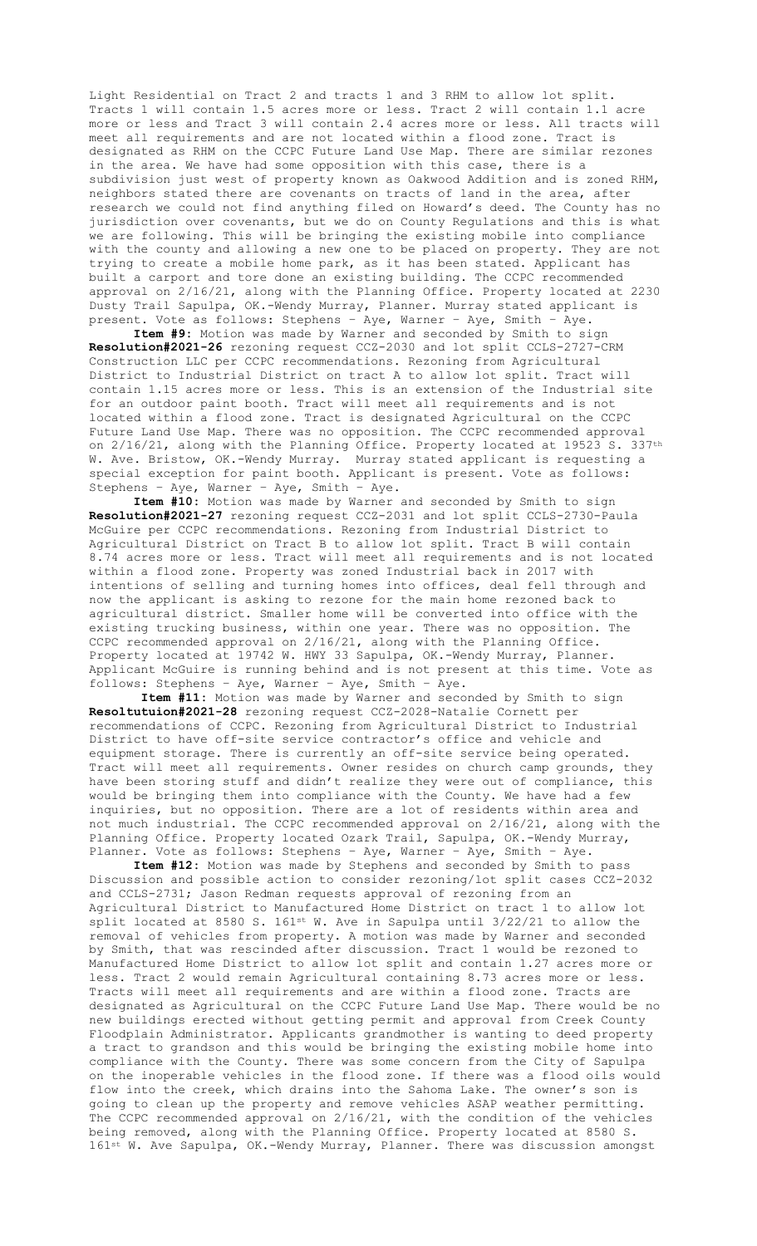Light Residential on Tract 2 and tracts 1 and 3 RHM to allow lot split. Tracts 1 will contain 1.5 acres more or less. Tract 2 will contain 1.1 acre more or less and Tract 3 will contain 2.4 acres more or less. All tracts will meet all requirements and are not located within a flood zone. Tract is designated as RHM on the CCPC Future Land Use Map. There are similar rezones in the area. We have had some opposition with this case, there is a subdivision just west of property known as Oakwood Addition and is zoned RHM, neighbors stated there are covenants on tracts of land in the area, after research we could not find anything filed on Howard's deed. The County has no jurisdiction over covenants, but we do on County Regulations and this is what we are following. This will be bringing the existing mobile into compliance with the county and allowing a new one to be placed on property. They are not trying to create a mobile home park, as it has been stated. Applicant has built a carport and tore done an existing building. The CCPC recommended approval on 2/16/21, along with the Planning Office. Property located at 2230 Dusty Trail Sapulpa, OK.-Wendy Murray, Planner. Murray stated applicant is present. Vote as follows: Stephens – Aye, Warner – Aye, Smith – Aye.

**Item #9:** Motion was made by Warner and seconded by Smith to sign **Resolution#2021-26** rezoning request CCZ-2030 and lot split CCLS-2727-CRM Construction LLC per CCPC recommendations. Rezoning from Agricultural District to Industrial District on tract A to allow lot split. Tract will contain 1.15 acres more or less. This is an extension of the Industrial site for an outdoor paint booth. Tract will meet all requirements and is not located within a flood zone. Tract is designated Agricultural on the CCPC Future Land Use Map. There was no opposition. The CCPC recommended approval on 2/16/21, along with the Planning Office. Property located at 19523 S. 337th W. Ave. Bristow, OK.-Wendy Murray. Murray stated applicant is requesting a special exception for paint booth. Applicant is present. Vote as follows: Stephens – Aye, Warner – Aye, Smith – Aye.

**Item #10:** Motion was made by Warner and seconded by Smith to sign **Resolution#2021-27** rezoning request CCZ-2031 and lot split CCLS-2730-Paula McGuire per CCPC recommendations. Rezoning from Industrial District to Agricultural District on Tract B to allow lot split. Tract B will contain 8.74 acres more or less. Tract will meet all requirements and is not located within a flood zone. Property was zoned Industrial back in 2017 with intentions of selling and turning homes into offices, deal fell through and now the applicant is asking to rezone for the main home rezoned back to agricultural district. Smaller home will be converted into office with the existing trucking business, within one year. There was no opposition. The CCPC recommended approval on 2/16/21, along with the Planning Office. Property located at 19742 W. HWY 33 Sapulpa, OK.-Wendy Murray, Planner. Applicant McGuire is running behind and is not present at this time. Vote as follows: Stephens – Aye, Warner – Aye, Smith – Aye.

**Item #11:** Motion was made by Warner and seconded by Smith to sign **Resoltutuion#2021-28** rezoning request CCZ-2028-Natalie Cornett per recommendations of CCPC. Rezoning from Agricultural District to Industrial District to have off-site service contractor's office and vehicle and equipment storage. There is currently an off-site service being operated. Tract will meet all requirements. Owner resides on church camp grounds, they have been storing stuff and didn't realize they were out of compliance, this would be bringing them into compliance with the County. We have had a few inquiries, but no opposition. There are a lot of residents within area and not much industrial. The CCPC recommended approval on 2/16/21, along with the Planning Office. Property located Ozark Trail, Sapulpa, OK.-Wendy Murray, Planner. Vote as follows: Stephens – Aye, Warner – Aye, Smith – Aye.

**Item #12:** Motion was made by Stephens and seconded by Smith to pass Discussion and possible action to consider rezoning/lot split cases CCZ-2032 and CCLS-2731; Jason Redman requests approval of rezoning from an Agricultural District to Manufactured Home District on tract 1 to allow lot split located at 8580 S. 161<sup>st</sup> W. Ave in Sapulpa until 3/22/21 to allow the removal of vehicles from property. A motion was made by Warner and seconded by Smith, that was rescinded after discussion. Tract 1 would be rezoned to Manufactured Home District to allow lot split and contain 1.27 acres more or less. Tract 2 would remain Agricultural containing 8.73 acres more or less. Tracts will meet all requirements and are within a flood zone. Tracts are designated as Agricultural on the CCPC Future Land Use Map. There would be no new buildings erected without getting permit and approval from Creek County Floodplain Administrator. Applicants grandmother is wanting to deed property a tract to grandson and this would be bringing the existing mobile home into compliance with the County. There was some concern from the City of Sapulpa on the inoperable vehicles in the flood zone. If there was a flood oils would flow into the creek, which drains into the Sahoma Lake. The owner's son is going to clean up the property and remove vehicles ASAP weather permitting. The CCPC recommended approval on 2/16/21, with the condition of the vehicles being removed, along with the Planning Office. Property located at 8580 S. 161st W. Ave Sapulpa, OK.-Wendy Murray, Planner. There was discussion amongst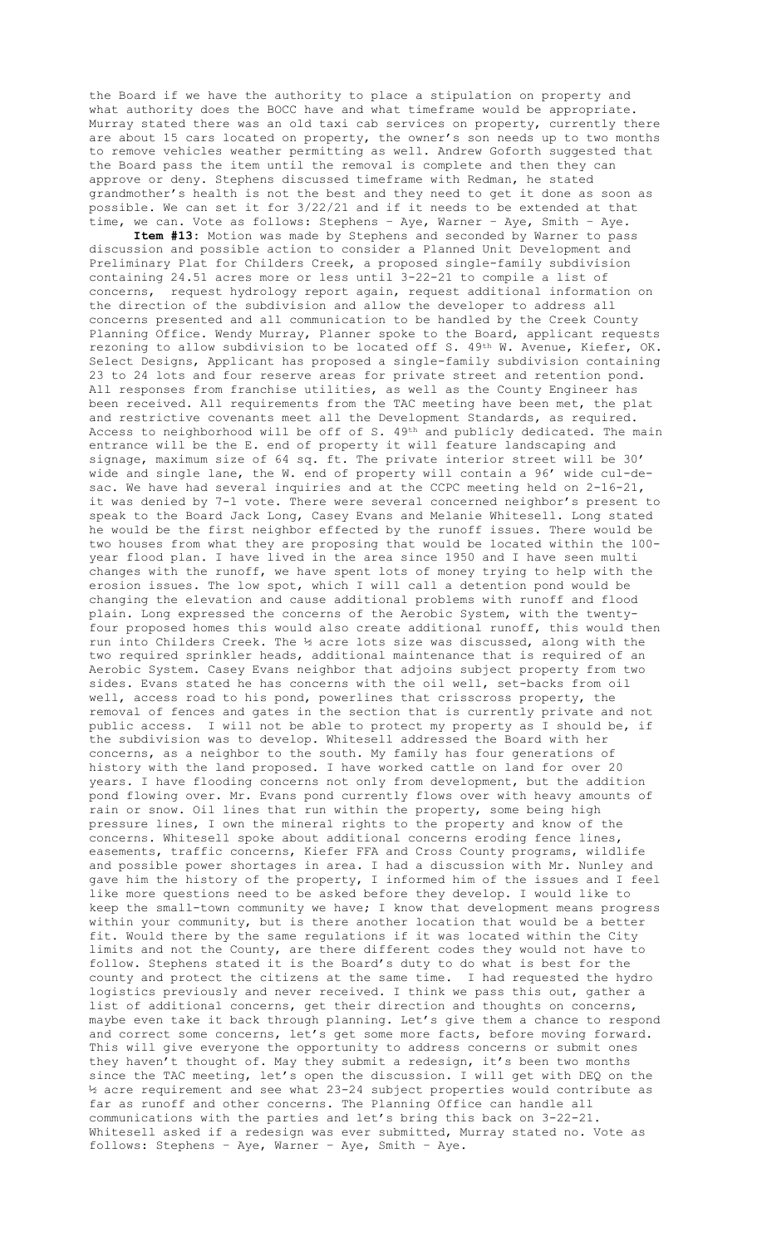the Board if we have the authority to place a stipulation on property and what authority does the BOCC have and what timeframe would be appropriate. Murray stated there was an old taxi cab services on property, currently there are about 15 cars located on property, the owner's son needs up to two months to remove vehicles weather permitting as well. Andrew Goforth suggested that the Board pass the item until the removal is complete and then they can approve or deny. Stephens discussed timeframe with Redman, he stated grandmother's health is not the best and they need to get it done as soon as possible. We can set it for 3/22/21 and if it needs to be extended at that time, we can. Vote as follows: Stephens – Aye, Warner – Aye, Smith – Aye.

**Item #13:** Motion was made by Stephens and seconded by Warner to pass discussion and possible action to consider a Planned Unit Development and Preliminary Plat for Childers Creek, a proposed single-family subdivision containing 24.51 acres more or less until 3-22-21 to compile a list of concerns, request hydrology report again, request additional information on the direction of the subdivision and allow the developer to address all concerns presented and all communication to be handled by the Creek County Planning Office. Wendy Murray, Planner spoke to the Board, applicant requests rezoning to allow subdivision to be located off S. 49<sup>th</sup> W. Avenue, Kiefer, OK. Select Designs, Applicant has proposed a single-family subdivision containing 23 to 24 lots and four reserve areas for private street and retention pond. All responses from franchise utilities, as well as the County Engineer has been received. All requirements from the TAC meeting have been met, the plat and restrictive covenants meet all the Development Standards, as required. Access to neighborhood will be off of S. 49th and publicly dedicated. The main entrance will be the E. end of property it will feature landscaping and signage, maximum size of 64 sq. ft. The private interior street will be 30' wide and single lane, the W. end of property will contain a 96' wide cul-desac. We have had several inquiries and at the CCPC meeting held on 2-16-21, it was denied by 7-1 vote. There were several concerned neighbor's present to speak to the Board Jack Long, Casey Evans and Melanie Whitesell. Long stated he would be the first neighbor effected by the runoff issues. There would be two houses from what they are proposing that would be located within the 100 year flood plan. I have lived in the area since 1950 and I have seen multi changes with the runoff, we have spent lots of money trying to help with the erosion issues. The low spot, which I will call a detention pond would be changing the elevation and cause additional problems with runoff and flood plain. Long expressed the concerns of the Aerobic System, with the twentyfour proposed homes this would also create additional runoff, this would then run into Childers Creek. The ½ acre lots size was discussed, along with the two required sprinkler heads, additional maintenance that is required of an Aerobic System. Casey Evans neighbor that adjoins subject property from two sides. Evans stated he has concerns with the oil well, set-backs from oil well, access road to his pond, powerlines that crisscross property, the removal of fences and gates in the section that is currently private and not public access. I will not be able to protect my property as I should be, if the subdivision was to develop. Whitesell addressed the Board with her concerns, as a neighbor to the south. My family has four generations of history with the land proposed. I have worked cattle on land for over 20 years. I have flooding concerns not only from development, but the addition pond flowing over. Mr. Evans pond currently flows over with heavy amounts of rain or snow. Oil lines that run within the property, some being high pressure lines, I own the mineral rights to the property and know of the concerns. Whitesell spoke about additional concerns eroding fence lines, easements, traffic concerns, Kiefer FFA and Cross County programs, wildlife and possible power shortages in area. I had a discussion with Mr. Nunley and gave him the history of the property, I informed him of the issues and I feel like more questions need to be asked before they develop. I would like to keep the small-town community we have; I know that development means progress within your community, but is there another location that would be a better fit. Would there by the same regulations if it was located within the City limits and not the County, are there different codes they would not have to follow. Stephens stated it is the Board's duty to do what is best for the county and protect the citizens at the same time. I had requested the hydro logistics previously and never received. I think we pass this out, gather a list of additional concerns, get their direction and thoughts on concerns, maybe even take it back through planning. Let's give them a chance to respond and correct some concerns, let's get some more facts, before moving forward. This will give everyone the opportunity to address concerns or submit ones they haven't thought of. May they submit a redesign, it's been two months since the TAC meeting, let's open the discussion. I will get with DEQ on the ½ acre requirement and see what 23-24 subject properties would contribute as far as runoff and other concerns. The Planning Office can handle all communications with the parties and let's bring this back on 3-22-21. Whitesell asked if a redesign was ever submitted, Murray stated no. Vote as follows: Stephens – Aye, Warner – Aye, Smith – Aye.